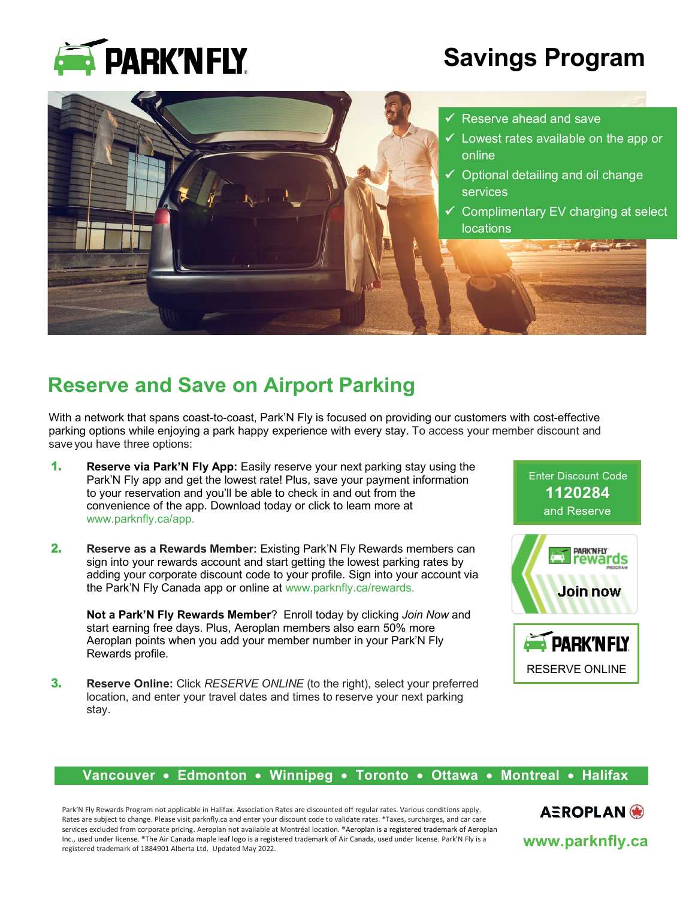

# **Savings Program**



## **Reserve and Save on Airport Parking**

With a network that spans coast-to-coast, Park'N Fly is focused on providing our customers with cost-effective parking options while enjoying a park happy experience with every stay. To access your member discount and saveyou have three options:

- 1. **Reserve via Park'N Fly App:** Easily reserve your next parking stay using the Park'N Fly app and get the lowest rate! Plus, save your payment information to your reservation and you'll be able to check in and out from the convenience of the app. Download today or click to learn more at [www.parknfly.ca/app.](http://www.parknfly.ca/app)
- 2. **Reserve as a Rewards Member:** Existing Park'N Fly Rewards members can sign into your rewards account and start getting the lowest parking rates by adding your corporate discount code to your profile. Sign into your account via the Park'N Fly Canada app or online at www.parknfly.ca/rewards.

**Not a Park'N Fly Rewards Member**? Enroll today by clicking *Join Now* and start earning free days. Plus, Aeroplan members also earn 50% more Aeroplan points when you add your member number in your Park'N Fly Rewards profile.

3. **Reserve Online:** Click *RESERVE ONLINE* (to the right), select your preferred location, and enter your travel dates and times to reserve your next parking stay.



### **Vancouver** • **Edmonton** • **Winnipeg** • **Toronto** • **Ottawa** • **Montreal** • **Halifax**

Park'N Fly Rewards Program not applicable in Halifax. Association Rates are discounted off regular rates. Various conditions apply. Rates are subject to change. Please visit parknfly.ca and enter your discount code to validate rates. \*Taxes, surcharges, and car care services excluded from corporate pricing. Aeroplan not available at Montréal location. ®Aeroplan is a registered trademark of Aeroplan Inc., used under license. ®The Air Canada maple leaf logo is a registered trademark of Air Canada, used under license. Park'N Fly is a registered trademark of 1884901 Alberta Ltd. Updated May 2022.

AEROPLAN<sup>®</sup>

**www.parknfly.ca**